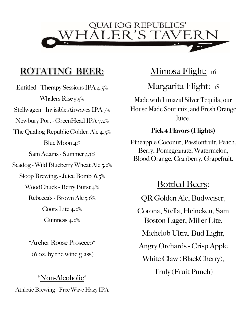

### **ROTATING BEER:**

Entitled - Therapy Sessions IPA 4.5% Whalers Rise 5.5% Stellwagen - Invisible Airwaves IPA 7% Newbury Port - GreenHead IPA 7.2% The Quahog Republic Golden Ale 4.5% Blue Moon 4% Sam Adams - Summer 5.3% Seadog - Wild Blueberry Wheat Ale 5.2% Sloop Brewing. - Juice Bomb 6.5% WoodChuck - Berry Burst 4% Rebecca's - Brown Ale 5.6% Coors Lite 4.2% Guinness 4.2%

> \*Archer Roose Prosecco\* (6 oz. by the wine glass)

\*Non-Alcoholic\* Athletic Brewing - Free Wave Hazy IPA

#### Mimosa Flight: 16

### Margarita Flight: 18

Made with Lunazul Silver Tequila, our House Made Sour mix, and Fresh Orange Juice.

#### **Pick 4 Flavors (Flights)**

Pineapple Coconut, Passionfruit, Peach, Berry, Pomegranate, Watermelon, Blood Orange, Cranberry, Grapefruit.

#### Bottled Beers:

QR Golden Ale, Budweiser,

Corona, Stella, Heineken, Sam Boston Lager, Miller Lite,

Michelob Ultra, Bud Light,

Angry Orchards - Crisp Apple

White Claw (BlackCherry),

Truly (Fruit Punch)